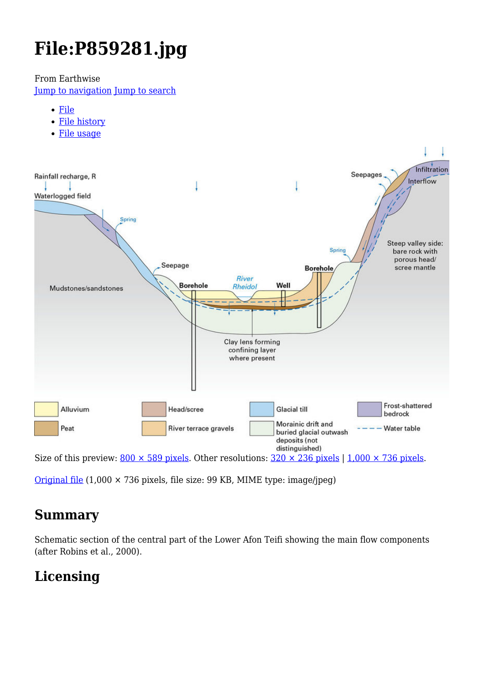# **File:P859281.jpg**

From Earthwise

[Jump to navigation](#page--1-0) [Jump to search](#page--1-0)

- [File](#page--1-0)
- [File history](#page--1-0)
- [File usage](#page--1-0)



[Original file](http://earthwise.bgs.ac.uk/images/3/3e/P859281.jpg) (1,000 × 736 pixels, file size: 99 KB, MIME type: image/jpeg)

# **Summary**

Schematic section of the central part of the Lower Afon Teifi showing the main flow components (after Robins et al., 2000).

# **Licensing**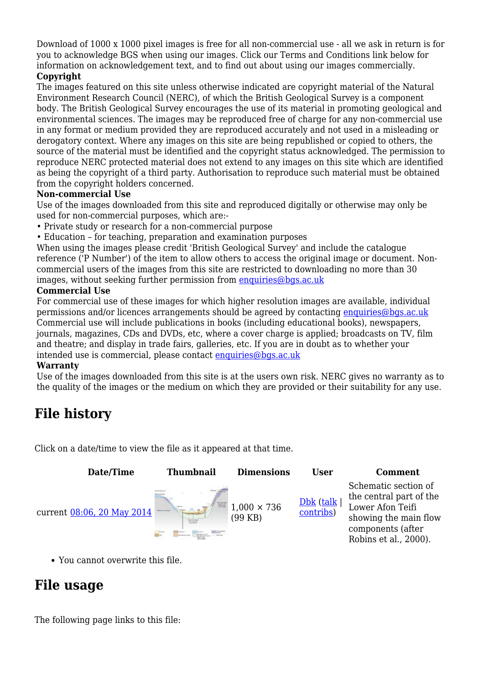Download of 1000 x 1000 pixel images is free for all non-commercial use - all we ask in return is for you to acknowledge BGS when using our images. Click our Terms and Conditions link below for information on acknowledgement text, and to find out about using our images commercially.

#### **Copyright**

The images featured on this site unless otherwise indicated are copyright material of the Natural Environment Research Council (NERC), of which the British Geological Survey is a component body. The British Geological Survey encourages the use of its material in promoting geological and environmental sciences. The images may be reproduced free of charge for any non-commercial use in any format or medium provided they are reproduced accurately and not used in a misleading or derogatory context. Where any images on this site are being republished or copied to others, the source of the material must be identified and the copyright status acknowledged. The permission to reproduce NERC protected material does not extend to any images on this site which are identified as being the copyright of a third party. Authorisation to reproduce such material must be obtained from the copyright holders concerned.

#### **Non-commercial Use**

Use of the images downloaded from this site and reproduced digitally or otherwise may only be used for non-commercial purposes, which are:-

- Private study or research for a non-commercial purpose
- Education for teaching, preparation and examination purposes

When using the images please credit 'British Geological Survey' and include the catalogue reference ('P Number') of the item to allow others to access the original image or document. Noncommercial users of the images from this site are restricted to downloading no more than 30 images, without seeking further permission from [enquiries@bgs.ac.uk](mailto:enquiries@bgs.ac.uk)

#### **Commercial Use**

For commercial use of these images for which higher resolution images are available, individual permissions and/or licences arrangements should be agreed by contacting [enquiries@bgs.ac.uk](mailto:enquiries@bgs.ac.uk) Commercial use will include publications in books (including educational books), newspapers, journals, magazines, CDs and DVDs, etc, where a cover charge is applied; broadcasts on TV, film and theatre; and display in trade fairs, galleries, etc. If you are in doubt as to whether your intended use is commercial, please contact [enquiries@bgs.ac.uk](mailto:enquiries@bgs.ac.uk)

#### **Warranty**

Use of the images downloaded from this site is at the users own risk. NERC gives no warranty as to the quality of the images or the medium on which they are provided or their suitability for any use.

# **File history**

Click on a date/time to view the file as it appeared at that time.

| Date/Time                  | <b>Thumbnail</b> | <b>Dimensions</b>               | <b>User</b>            | <b>Comment</b>                                                                                                                             |
|----------------------------|------------------|---------------------------------|------------------------|--------------------------------------------------------------------------------------------------------------------------------------------|
| current 08:06, 20 May 2014 | E                | $1,000 \times 736$<br>$(99$ KB) | Dbk (talk<br>contribs) | Schematic section of<br>the central part of the<br>Lower Afon Teifi<br>showing the main flow<br>components (after<br>Robins et al., 2000). |

You cannot overwrite this file.

# **File usage**

The following page links to this file: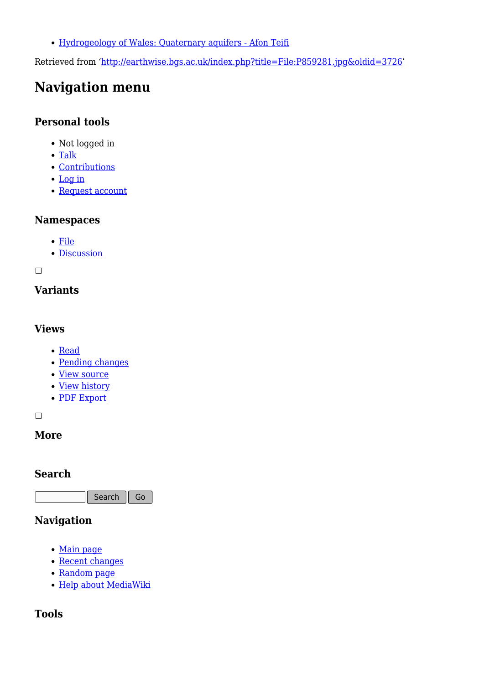[Hydrogeology of Wales: Quaternary aquifers - Afon Teifi](http://earthwise.bgs.ac.uk/index.php/Hydrogeology_of_Wales:_Quaternary_aquifers_-_Afon_Teifi)

Retrieved from ['http://earthwise.bgs.ac.uk/index.php?title=File:P859281.jpg&oldid=3726](http://earthwise.bgs.ac.uk/index.php?title=File:P859281.jpg&oldid=3726)'

# **Navigation menu**

### **Personal tools**

- Not logged in
- [Talk](http://earthwise.bgs.ac.uk/index.php/Special:MyTalk)
- [Contributions](http://earthwise.bgs.ac.uk/index.php/Special:MyContributions)
- [Log in](http://earthwise.bgs.ac.uk/index.php?title=Special:UserLogin&returnto=File%3AP859281.jpg&returntoquery=action%3Dmpdf)
- [Request account](http://earthwise.bgs.ac.uk/index.php/Special:RequestAccount)

### **Namespaces**

- [File](http://earthwise.bgs.ac.uk/index.php/File:P859281.jpg)
- [Discussion](http://earthwise.bgs.ac.uk/index.php?title=File_talk:P859281.jpg&action=edit&redlink=1)

 $\Box$ 

### **Variants**

#### **Views**

- [Read](http://earthwise.bgs.ac.uk/index.php?title=File:P859281.jpg&stable=1)
- [Pending changes](http://earthwise.bgs.ac.uk/index.php?title=File:P859281.jpg&stable=0&redirect=no)
- [View source](http://earthwise.bgs.ac.uk/index.php?title=File:P859281.jpg&action=edit)
- [View history](http://earthwise.bgs.ac.uk/index.php?title=File:P859281.jpg&action=history)
- [PDF Export](http://earthwise.bgs.ac.uk/index.php?title=File:P859281.jpg&action=mpdf)

 $\Box$ 

### **More**

### **Search**

Search Go

### **Navigation**

- [Main page](http://earthwise.bgs.ac.uk/index.php/Main_Page)
- [Recent changes](http://earthwise.bgs.ac.uk/index.php/Special:RecentChanges)
- [Random page](http://earthwise.bgs.ac.uk/index.php/Special:Random)
- [Help about MediaWiki](https://www.mediawiki.org/wiki/Special:MyLanguage/Help:Contents)

### **Tools**